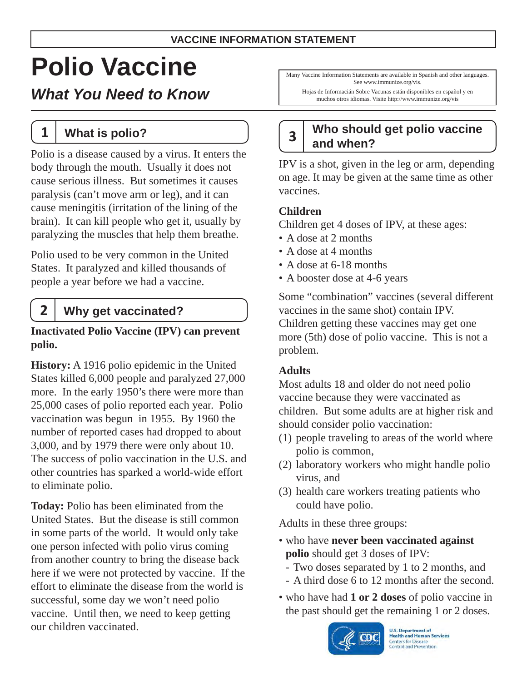# **Polio Vaccine**

*What You Need to Know* 

**1 What is polio?** 

Polio is a disease caused by a virus. It enters the body through the mouth. Usually it does not cause serious illness. But sometimes it causes paralysis (can't move arm or leg), and it can cause meningitis (irritation of the lining of the brain). It can kill people who get it, usually by paralyzing the muscles that help them breathe.

Polio used to be very common in the United States. It paralyzed and killed thousands of people a year before we had a vaccine.

### **2 Why get vaccinated?**

#### **Inactivated Polio Vaccine (IPV) can prevent polio.**

**History:** A 1916 polio epidemic in the United States killed 6,000 people and paralyzed 27,000 more. In the early 1950's there were more than 25,000 cases of polio reported each year. Polio vaccination was begun in 1955. By 1960 the number of reported cases had dropped to about 3,000, and by 1979 there were only about 10. The success of polio vaccination in the U.S. and other countries has sparked a world-wide effort to eliminate polio.

**Today:** Polio has been eliminated from the United States. But the disease is still common in some parts of the world. It would only take one person infected with polio virus coming from another country to bring the disease back here if we were not protected by vaccine. If the effort to eliminate the disease from the world is successful, some day we won't need polio vaccine. Until then, we need to keep getting our children vaccinated.

Many Vaccine Information Statements are available in Spanish and other languages. See www.immunize.org/vis.

Hojas de Informacián Sobre Vacunas están disponibles en español y en muchos otros idiomas. Visite http://www.immunize.org/vis

## **Who should get polio vaccine <sup>3</sup> and when?**

IPV is a shot, given in the leg or arm, depending on age. It may be given at the same time as other vaccines.

#### **Children**

Children get 4 doses of IPV, at these ages:

- A dose at 2 months
- A dose at 4 months
- A dose at 6-18 months
- A booster dose at 4-6 years

Some "combination" vaccines (several different vaccines in the same shot) contain IPV. Children getting these vaccines may get one more (5th) dose of polio vaccine. This is not a problem.

#### **Adults**

Most adults 18 and older do not need polio vaccine because they were vaccinated as children. But some adults are at higher risk and should consider polio vaccination:

- (1) people traveling to areas of the world where polio is common,
- (2) laboratory workers who might handle polio virus, and
- (3) health care workers treating patients who could have polio.

Adults in these three groups:

- who have **never been vaccinated against polio** should get 3 doses of IPV:
	- Two doses separated by 1 to 2 months, and
	- A third dose 6 to 12 months after the second.
- who have had **1 or 2 doses** of polio vaccine in the past should get the remaining 1 or 2 doses.



**U.S. Department of<br>Health and Human Services Centers for Disease Control and Prevention**